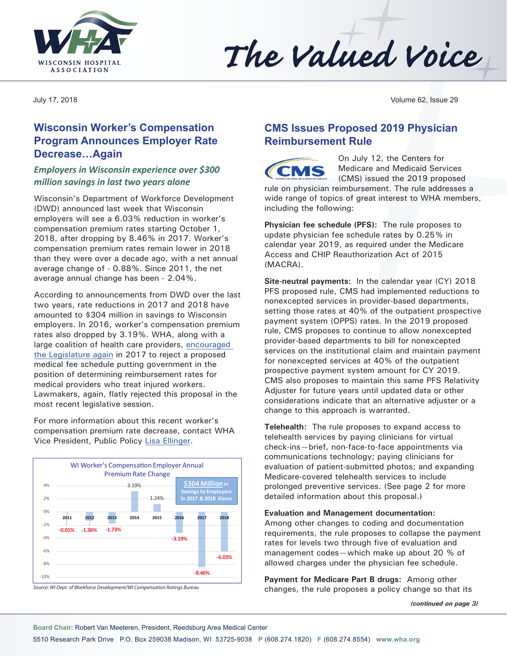



July 17, 2018 Volume 62, Issue 29

## **Wisconsin Worker's Compensation Program Announces Employer Rate Decrease…Again**

#### *Employers in Wisconsin experience over \$300 million savings in last two years alone*

Wisconsin's Department of Workforce Development (DWD) announced last week that Wisconsin employers will see a 6.03% reduction in worker's compensation premium rates starting October 1, 2018, after dropping by 8.46% in 2017. Worker's compensation premium rates remain lower in 2018 than they were over a decade ago, with a net annual average change of - 0.88%. Since 2011, the net average annual change has been - 2.04%.

According to announcements from DWD over the last two years, rate reductions in 2017 and 2018 have amounted to \$304 million in savings to Wisconsin employers. In 2016, worker's compensation premium rates also dropped by 3.19%. WHA, along with a large coalition of health care providers, [encouraged](http://www.wha.org/pdf/RejectGovernmentControlofHealthCare-final.pdf)  [the Legislature again](http://www.wha.org/pdf/RejectGovernmentControlofHealthCare-final.pdf) in 2017 to reject a proposed medical fee schedule putting government in the position of determining reimbursement rates for medical providers who treat injured workers. Lawmakers, again, flatly rejected this proposal in the most recent legislative session.

For more information about this recent worker's compensation premium rate decrease, contact WHA Vice President, Public Policy [Lisa Ellinger.](mailto:lellinger@wha.org)



*Source: WI Dept. of Workforce Development/WI Compensation Ratings Bureau*

### **CMS Issues Proposed 2019 Physician Reimbursement Rule**

On July 12, the Centers for Medicare and Medicaid Services (CMS) issued the 2019 proposed

rule on physician reimbursement. The rule addresses a wide range of topics of great interest to WHA members, including the following:

**Physician fee schedule (PFS):** The rule proposes to update physician fee schedule rates by 0.25% in calendar year 2019, as required under the Medicare Access and CHIP Reauthorization Act of 2015 (MACRA).

**Site-neutral payments:** In the calendar year (CY) 2018 PFS proposed rule, CMS had implemented reductions to nonexcepted services in provider-based departments, setting those rates at 40% of the outpatient prospective payment system (OPPS) rates. In the 2019 proposed rule, CMS proposes to continue to allow nonexcepted provider-based departments to bill for nonexcepted services on the institutional claim and maintain payment for nonexcepted services at 40% of the outpatient prospective payment system amount for CY 2019. CMS also proposes to maintain this same PFS Relativity Adjuster for future years until updated data or other considerations indicate that an alternative adjuster or a change to this approach is warranted.

**Telehealth:** The rule proposes to expand access to telehealth services by paying clinicians for virtual check-ins—brief, non-face-to-face appointments via communications technology; paying clinicians for evaluation of patient-submitted photos; and expanding Medicare-covered telehealth services to include prolonged preventive services. (See page 2 for more detailed information about this proposal.)

#### **Evaluation and Management documentation:**

Among other changes to coding and documentation requirements, the rule proposes to collapse the payment rates for levels two through five of evaluation and management codes—which make up about 20 % of allowed charges under the physician fee schedule.

**Payment for Medicare Part B drugs:** Among other changes, the rule proposes a policy change so that its

*(continued on page 3)*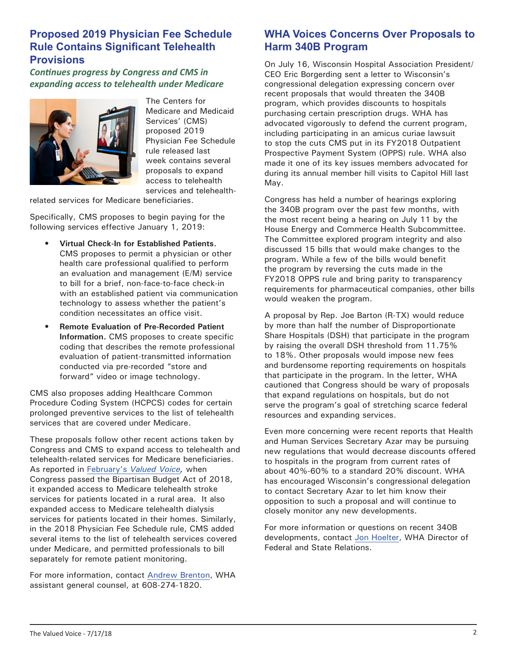#### **Proposed 2019 Physician Fee Schedule Rule Contains Significant Telehealth Provisions**

*Continues progress by Congress and CMS in expanding access to telehealth under Medicare*



The Centers for Medicare and Medicaid Services' (CMS) proposed 2019 Physician Fee Schedule rule released last week contains several proposals to expand access to telehealth services and telehealth-

related services for Medicare beneficiaries.

Specifically, CMS proposes to begin paying for the following services effective January 1, 2019:

- **• Virtual Check-In for Established Patients.**  CMS proposes to permit a physician or other health care professional qualified to perform an evaluation and management (E/M) service to bill for a brief, non-face-to-face check-in with an established patient via communication technology to assess whether the patient's condition necessitates an office visit.
- **• Remote Evaluation of Pre-Recorded Patient Information.** CMS proposes to create specific coding that describes the remote professional evaluation of patient-transmitted information conducted via pre-recorded "store and forward" video or image technology.

CMS also proposes adding Healthcare Common Procedure Coding System (HCPCS) codes for certain prolonged preventive services to the list of telehealth services that are covered under Medicare.

These proposals follow other recent actions taken by Congress and CMS to expand access to telehealth and telehealth-related services for Medicare beneficiaries. As reported in February's *[Valued Voice,](http://www.wha.org/wha-newsletter-2-16-2018.aspx#s7)* when Congress passed the Bipartisan Budget Act of 2018, it expanded access to Medicare telehealth stroke services for patients located in a rural area. It also expanded access to Medicare telehealth dialysis services for patients located in their homes. Similarly, in the 2018 Physician Fee Schedule rule, CMS added several items to the list of telehealth services covered under Medicare, and permitted professionals to bill separately for remote patient monitoring.

For more information, contact [Andrew Brenton,](mailto:abrenton@wha.org) WHA assistant general counsel, at 608-274-1820.

### **WHA Voices Concerns Over Proposals to Harm 340B Program**

On July 16, Wisconsin Hospital Association President/ CEO Eric Borgerding sent a letter to Wisconsin's congressional delegation expressing concern over recent proposals that would threaten the 340B program, which provides discounts to hospitals purchasing certain prescription drugs. WHA has advocated vigorously to defend the current program, including participating in an amicus curiae lawsuit to stop the cuts CMS put in its FY2018 Outpatient Prospective Payment System (OPPS) rule. WHA also made it one of its key issues members advocated for during its annual member hill visits to Capitol Hill last May.

Congress has held a number of hearings exploring the 340B program over the past few months, with the most recent being a hearing on July 11 by the House Energy and Commerce Health Subcommittee. The Committee explored program integrity and also discussed 15 bills that would make changes to the program. While a few of the bills would benefit the program by reversing the cuts made in the FY2018 OPPS rule and bring parity to transparency requirements for pharmaceutical companies, other bills would weaken the program.

A proposal by Rep. Joe Barton (R-TX) would reduce by more than half the number of Disproportionate Share Hospitals (DSH) that participate in the program by raising the overall DSH threshold from 11.75% to 18%. Other proposals would impose new fees and burdensome reporting requirements on hospitals that participate in the program. In the letter, WHA cautioned that Congress should be wary of proposals that expand regulations on hospitals, but do not serve the program's goal of stretching scarce federal resources and expanding services.

Even more concerning were recent reports that Health and Human Services Secretary Azar may be pursuing new regulations that would decrease discounts offered to hospitals in the program from current rates of about 40%-60% to a standard 20% discount. WHA has encouraged Wisconsin's congressional delegation to contact Secretary Azar to let him know their opposition to such a proposal and will continue to closely monitor any new developments.

For more information or questions on recent 340B developments, contact [Jon Hoelter,](mailto:jhoelter@wha.org) WHA Director of Federal and State Relations.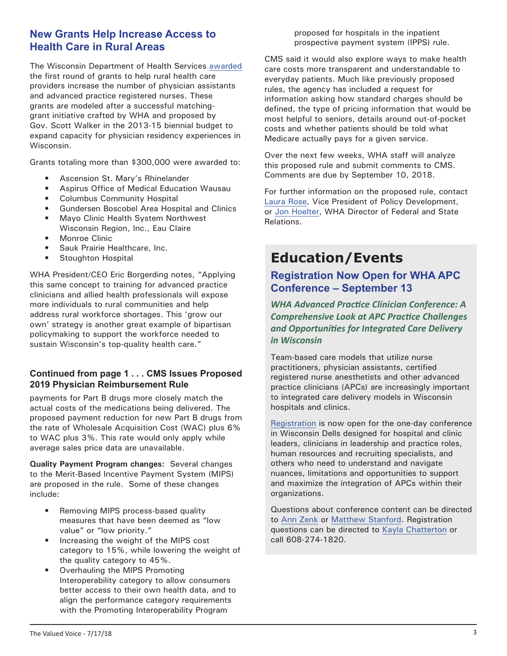#### **New Grants Help Increase Access to Health Care in Rural Areas**

The Wisconsin Department of Health Services [awarded](https://www.dhs.wisconsin.gov/news/releases/071118.htm) the first round of grants to help rural health care providers increase the number of physician assistants and advanced practice registered nurses. These grants are modeled after a successful matchinggrant initiative crafted by WHA and proposed by Gov. Scott Walker in the 2013-15 biennial budget to expand capacity for physician residency experiences in Wisconsin.

Grants totaling more than \$300,000 were awarded to:

- Ascension St. Mary's Rhinelander
- Aspirus Office of Medical Education Wausau
- Columbus Community Hospital
- Gundersen Boscobel Area Hospital and Clinics
- Mayo Clinic Health System Northwest Wisconsin Region, Inc., Eau Claire
- Monroe Clinic
- Sauk Prairie Healthcare, Inc.
- Stoughton Hospital

WHA President/CEO Eric Borgerding notes, "Applying this same concept to training for advanced practice clinicians and allied health professionals will expose more individuals to rural communities and help address rural workforce shortages. This 'grow our own' strategy is another great example of bipartisan policymaking to support the workforce needed to sustain Wisconsin's top-quality health care."

#### **Continued from page 1 . . . CMS Issues Proposed 2019 Physician Reimbursement Rule**

payments for Part B drugs more closely match the actual costs of the medications being delivered. The proposed payment reduction for new Part B drugs from the rate of Wholesale Acquisition Cost (WAC) plus 6% to WAC plus 3%. This rate would only apply while average sales price data are unavailable.

**Quality Payment Program changes:** Several changes to the Merit-Based Incentive Payment System (MIPS) are proposed in the rule. Some of these changes include:

- Removing MIPS process-based quality measures that have been deemed as "low value" or "low priority."
- Increasing the weight of the MIPS cost category to 15%, while lowering the weight of the quality category to 45%.
- Overhauling the MIPS Promoting Interoperability category to allow consumers better access to their own health data, and to align the performance category requirements with the Promoting Interoperability Program

proposed for hospitals in the inpatient prospective payment system (IPPS) rule.

CMS said it would also explore ways to make health care costs more transparent and understandable to everyday patients. Much like previously proposed rules, the agency has included a request for information asking how standard charges should be defined, the type of pricing information that would be most helpful to seniors, details around out-of-pocket costs and whether patients should be told what Medicare actually pays for a given service.

Over the next few weeks, WHA staff will analyze this proposed rule and submit comments to CMS. Comments are due by September 10, 2018.

For further information on the proposed rule, contact [Laura Rose,](mailto:lrose@wha.org) Vice President of Policy Development, or [Jon Hoelter,](mailto:jhoelter@wha.org) WHA Director of Federal and State Relations.

# **Education/Events**

# **Registration Now Open for WHA APC Conference – September 13**

*WHA Advanced Practice Clinician Conference: A Comprehensive Look at APC Practice Challenges and Opportunities for Integrated Care Delivery in Wisconsin*

Team-based care models that utilize nurse practitioners, physician assistants, certified registered nurse anesthetists and other advanced practice clinicians (APCs) are increasingly important to integrated care delivery models in Wisconsin hospitals and clinics.

[Registration](http://www.cvent.com/events/18l-apc-0913/event-summary-b3b6438824cc4e4493543ce527a458e5.aspx) is now open for the one-day conference in Wisconsin Dells designed for hospital and clinic leaders, clinicians in leadership and practice roles, human resources and recruiting specialists, and others who need to understand and navigate nuances, limitations and opportunities to support and maximize the integration of APCs within their organizations.

Questions about conference content can be directed to [Ann Zenk](mailto:azenk@wha.org) or [Matthew Stanford.](mailto:mstanford@wha.org) Registration questions can be directed to [Kayla Chatterton](mailto:kchatterton@wha.org) or call 608-274-1820.